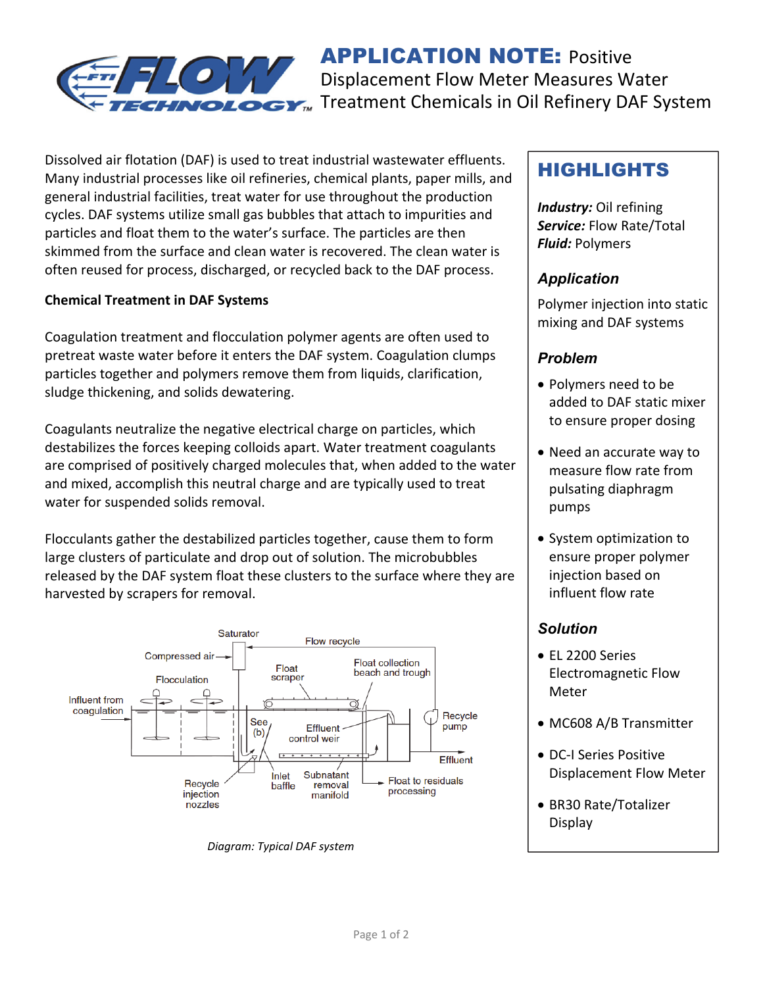

**APPLICATION NOTE: Positive** Displacement Flow Meter Measures Water Treatment Chemicals in Oil Refinery DAF System

Dissolved air flotation (DAF) is used to treat industrial wastewater effluents. Many industrial processes like oil refineries, chemical plants, paper mills, and general industrial facilities, treat water for use throughout the production cycles. DAF systems utilize small gas bubbles that attach to impurities and particles and float them to the water's surface. The particles are then skimmed from the surface and clean water is recovered. The clean water is often reused for process, discharged, or recycled back to the DAF process.

#### **Chemical Treatment in DAF Systems**

Coagulation treatment and flocculation polymer agents are often used to pretreat waste water before it enters the DAF system. Coagulation clumps particles together and polymers remove them from liquids, clarification, sludge thickening, and solids dewatering.

Coagulants neutralize the negative electrical charge on particles, which destabilizes the forces keeping colloids apart. Water treatment coagulants are comprised of positively charged molecules that, when added to the water and mixed, accomplish this neutral charge and are typically used to treat water for suspended solids removal.

Flocculants gather the destabilized particles together, cause them to form large clusters of particulate and drop out of solution. The microbubbles released by the DAF system float these clusters to the surface where they are harvested by scrapers for removal.



*Diagram: Typical DAF system* 

# HIGHLIGHTS

*Industry:* Oil refining *Service:* Flow Rate/Total *Fluid:* Polymers

## *Application*

Polymer injection into static mixing and DAF systems

### *Problem*

- Polymers need to be added to DAF static mixer to ensure proper dosing
- Need an accurate way to measure flow rate from pulsating diaphragm pumps
- System optimization to ensure proper polymer injection based on influent flow rate

### *Solution*

- EL 2200 Series Electromagnetic Flow Meter
- MC608 A/B Transmitter
- DC-I Series Positive Displacement Flow Meter
- BR30 Rate/Totalizer Display